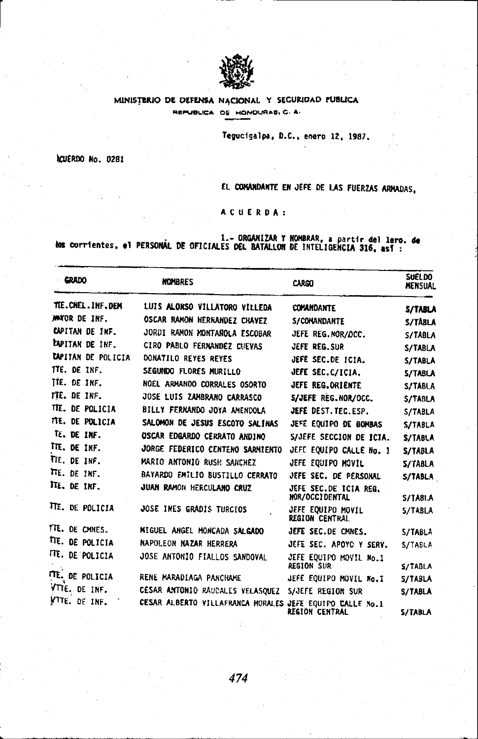

## MINISTERIO DE DEFENSA NACIONAL Y SEGURIDAD PUBLICA REPUBLICA DE HONDURAS, C. A.

Tegucigalpa, D.C., enero 12, 1987.

ACUERDO No. 0281

EL CONANDANTE EN JEFE DE LAS FUERZAS ARMADAS.

ACUERDA:

l.- ORGANIZAR Y NOMBRAR, a partir del lero. de<br>les corrientes, el PERSONAL DE OFICIALES DEL BATALLON DE INTELIGENCIA 316, así :

| GRADO                     | <b>NOMBRES</b>                                           | <b>CARGO</b>                                | SUELDO<br><b>MENSUAL</b> |
|---------------------------|----------------------------------------------------------|---------------------------------------------|--------------------------|
| TIE.CNEL.INF.DEM          | LUIS ALONSO VILLATORO VILLEDA                            | <b>COMANDANTE</b>                           | S/TABLA                  |
| MAYOR DE INF.             | OSCAR RAMON HERNANDEZ CHAVEZ                             | S/COMANDANTE                                | S/TABLA                  |
| CAPITAN DE INF.           | JORDI RAMON MONTAROLA ESCOBAR                            | JEFE REG.NOR/OCC.                           | S/TABLA                  |
| <b>CAPITAN DE INF.</b>    | CIRO PABLO FERNANDEZ CUEVAS                              | JEFE REG.SUR                                | S/TABLA                  |
| <b>CAPITAN DE POLICIA</b> | DONATILO REYES REYES                                     | JEFE SEC.DE ICIA.                           | S/TABLA                  |
| TTE. DE INF.              | SEGUNDO FLORES MURILLO                                   | JEFE SEC.C/ICIA.                            | S/TABLA                  |
| TTE. DE INF.              | NOEL ARMANDO CORRALES OSORTO                             | JEFE REG.ORIENTE                            | S/TABLA                  |
| TTE. DE INF.              | JOSE LUIS ZAMBRANO CARRASCO                              | S/JEFE REG.NOR/OCC.                         | S/TABLA                  |
| TTE. DE POLICIA           | BILLY FERNANDO JOYA AMENDOLA                             | JEFE DEST. TEC. ESP.                        | S/TABLA                  |
| TTE. DE POLICIA           | SALOMON DE JESUS ESCOTO SALINAS                          | JEFE EQUIPO DE BONBAS                       | S/TABLA                  |
| TE. DE INF.               | <b>OSCAR EDGARDO CERRATO ANDINO</b>                      | S/JEFE SECCION DE ICIA.                     | S/TABLA                  |
| TTE. DE INF.              | JORGE FEDERICO CENTENO SARMIENTO                         | JEFE EQUIPO CALLE No. 1                     | S/TABLA                  |
| TTE. DE INF.              | MARIO ANTONIO RUSH SANCHEZ                               | JEFE EQUIPO MOVIL                           | S/TABLA                  |
| TTE. DE INF.              | BAYARDO EMILIO BUSTILLO CERRATO                          | JEFE SEC. DE PERSONAL                       | S/TABLA                  |
| TTE. DE INF.              | JUAN RAMON HERCULANO CRUZ                                | JEFE SEC.DE ICIA REG.<br>NOR/OCCIDENTAL     | <b>S/TABI.A</b>          |
| TTE. DE POLICIA           | JOSE INES GRADIS TURCIOS                                 | JEFE EQUIPO MOVIL<br><b>REGION CENTRAL</b>  | S/TABLA                  |
| TTE. DE CMNES.            | MIGUEL ANGEL MONCADA SALGADO                             | JEFE SEC.DE CMNES.                          | S/TABLA                  |
| TIE. DE POLICIA           | NAPOLEON NAZAR HERRERA                                   | JEFE SEC. APOYC Y SERV.                     | S/TABLA                  |
| TTE. DE POLICIA           | JOSE ANTONIO FIALLOS SANDOVAL                            | JEFE EQUIPO MOVIL No.1<br><b>REGION SUR</b> | S/TABLA                  |
| TTE. DE POLICIA           | RENE MARADIAGA PANCHAME                                  | JEFE EQUIPO MOVIL No.I                      | S/TABLA                  |
| VTTE, DE INF.             | CESAR ANTONIO RAUDALES VELASQUEZ                         | S/JEFE REGION SUR                           | S/TABLA                  |
| VITE. DE INF.             | CESAR ALBERTO VILLAFRANCA MORALES JEFE EQUIPO CALLE No.1 | DECIAN FENTDAI                              | C ITADI A                |